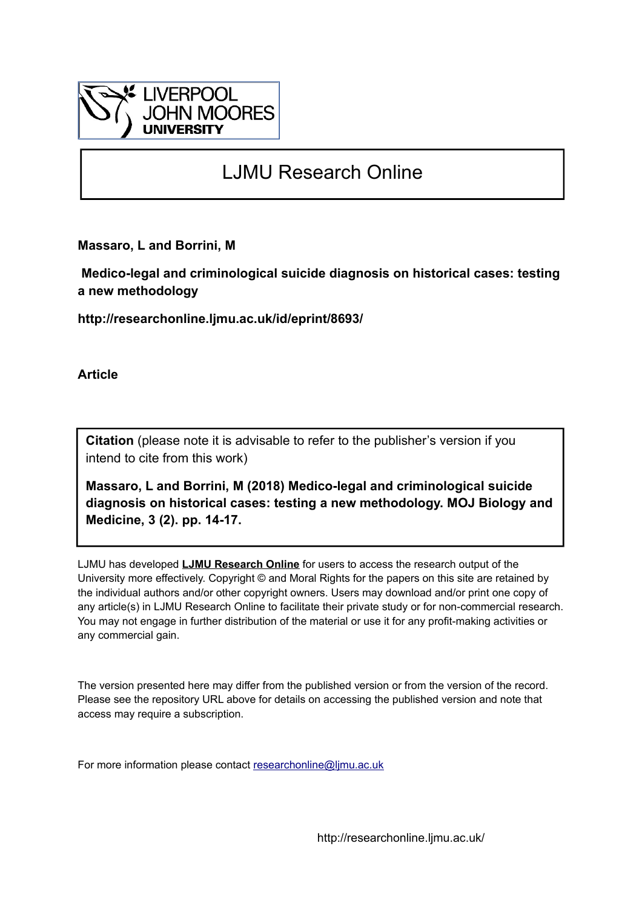

# LJMU Research Online

**Massaro, L and Borrini, M**

 **Medico-legal and criminological suicide diagnosis on historical cases: testing a new methodology**

**http://researchonline.ljmu.ac.uk/id/eprint/8693/**

**Article**

**Citation** (please note it is advisable to refer to the publisher's version if you intend to cite from this work)

**Massaro, L and Borrini, M (2018) Medico-legal and criminological suicide diagnosis on historical cases: testing a new methodology. MOJ Biology and Medicine, 3 (2). pp. 14-17.** 

LJMU has developed **[LJMU Research Online](http://researchonline.ljmu.ac.uk/)** for users to access the research output of the University more effectively. Copyright © and Moral Rights for the papers on this site are retained by the individual authors and/or other copyright owners. Users may download and/or print one copy of any article(s) in LJMU Research Online to facilitate their private study or for non-commercial research. You may not engage in further distribution of the material or use it for any profit-making activities or any commercial gain.

The version presented here may differ from the published version or from the version of the record. Please see the repository URL above for details on accessing the published version and note that access may require a subscription.

For more information please contact [researchonline@ljmu.ac.uk](mailto:researchonline@ljmu.ac.uk)

http://researchonline.ljmu.ac.uk/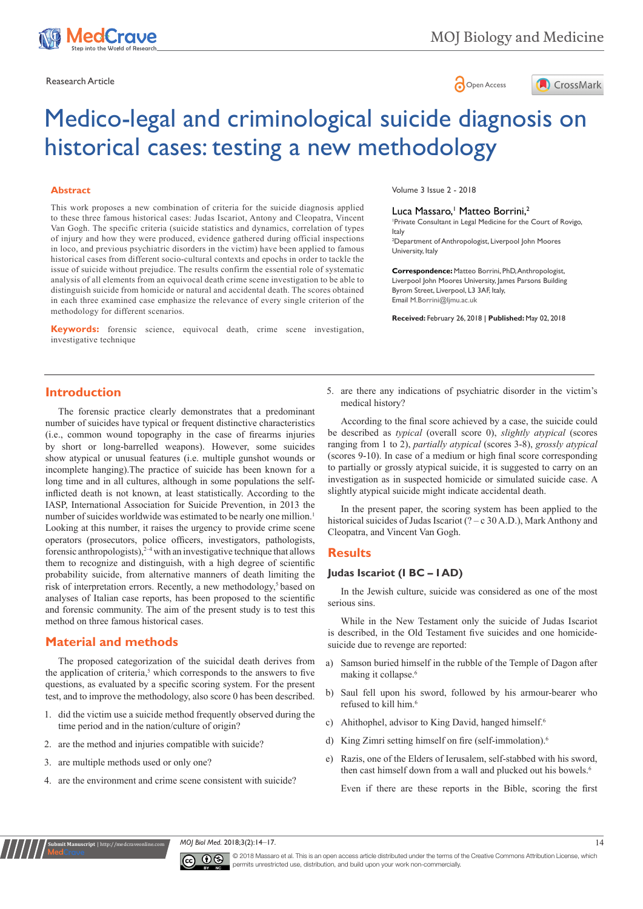



# Medico-legal and criminological suicide diagnosis on historical cases: testing a new methodology

#### **Abstract**

This work proposes a new combination of criteria for the suicide diagnosis applied to these three famous historical cases: Judas Iscariot, Antony and Cleopatra, Vincent Van Gogh. The specific criteria (suicide statistics and dynamics, correlation of types of injury and how they were produced, evidence gathered during official inspections in loco, and previous psychiatric disorders in the victim) have been applied to famous historical cases from different socio-cultural contexts and epochs in order to tackle the issue of suicide without prejudice. The results confirm the essential role of systematic analysis of all elements from an equivocal death crime scene investigation to be able to distinguish suicide from homicide or natural and accidental death. The scores obtained in each three examined case emphasize the relevance of every single criterion of the methodology for different scenarios.

**Keywords:** forensic science, equivocal death, crime scene investigation, investigative technique

Volume 3 Issue 2 - 2018

#### Luca Massaro, <sup>1</sup> Matteo Borrini, 2

1 Private Consultant in Legal Medicine for the Court of Rovigo, Italy

2 Department of Anthropologist, Liverpool John Moores University, Italy

**Correspondence:** Matteo Borrini, PhD, Anthropologist, Liverpool John Moores University, James Parsons Building Byrom Street, Liverpool, L3 3AF, Italy, Email M.Borrini@ljmu.ac.uk

**Received:** February 26, 2018 | **Published:** May 02, 2018

#### **Introduction**

The forensic practice clearly demonstrates that a predominant number of suicides have typical or frequent distinctive characteristics (i.e., common wound topography in the case of firearms injuries by short or long-barrelled weapons). However, some suicides show atypical or unusual features (i.e. multiple gunshot wounds or incomplete hanging).The practice of suicide has been known for a long time and in all cultures, although in some populations the selfinflicted death is not known, at least statistically. According to the IASP, International Association for Suicide Prevention, in 2013 the number of suicides worldwide was estimated to be nearly one million.<sup>1</sup> Looking at this number, it raises the urgency to provide crime scene operators (prosecutors, police officers, investigators, pathologists, forensic anthropologists), $2-4$  with an investigative technique that allows them to recognize and distinguish, with a high degree of scientific probability suicide, from alternative manners of death limiting the risk of interpretation errors. Recently, a new methodology,<sup>5</sup> based on analyses of Italian case reports, has been proposed to the scientific and forensic community. The aim of the present study is to test this method on three famous historical cases.

#### **Material and methods**

The proposed categorization of the suicidal death derives from the application of criteria, $5$  which corresponds to the answers to five questions, as evaluated by a specific scoring system. For the present test, and to improve the methodology, also score 0 has been described.

- 1. did the victim use a suicide method frequently observed during the time period and in the nation/culture of origin?
- 2. are the method and injuries compatible with suicide?
- 3. are multiple methods used or only one?

**Rubmit Manuscript** | http://medcrav

4. are the environment and crime scene consistent with suicide?

5. are there any indications of psychiatric disorder in the victim's medical history?

According to the final score achieved by a case, the suicide could be described as *typical* (overall score 0), *slightly atypical* (scores ranging from 1 to 2), *partially atypical* (scores 3-8), *grossly atypical* (scores 9-10). In case of a medium or high final score corresponding to partially or grossly atypical suicide, it is suggested to carry on an investigation as in suspected homicide or simulated suicide case. A slightly atypical suicide might indicate accidental death.

In the present paper, the scoring system has been applied to the historical suicides of Judas Iscariot (? – c 30 A.D.), Mark Anthony and Cleopatra, and Vincent Van Gogh.

#### **Results**

# **Judas Iscariot (I BC – I AD)**

In the Jewish culture, suicide was considered as one of the most serious sins.

While in the New Testament only the suicide of Judas Iscariot is described, in the Old Testament five suicides and one homicidesuicide due to revenge are reported:

- a) Samson buried himself in the rubble of the Temple of Dagon after making it collapse.<sup>6</sup>
- b) Saul fell upon his sword, followed by his armour-bearer who refused to kill him.6
- c) Ahithophel, advisor to King David, hanged himself.<sup>6</sup>
- d) King Zimri setting himself on fire (self-immolation).<sup>6</sup>
- e) Razis, one of the Elders of Ierusalem, self-stabbed with his sword, then cast himself down from a wall and plucked out his bowels.<sup>6</sup>

Even if there are these reports in the Bible, scoring the first

*MOJ Biol Med.* 2018;3(2):14‒17. 14



© 2018 Massaro et al. This is an open access article distributed under the terms of the [Creative Commons Attribution License,](https://creativecommons.org/licenses/by-nc/4.0/) which permits unrestricted use, distribution, and build upon your work non-commercially.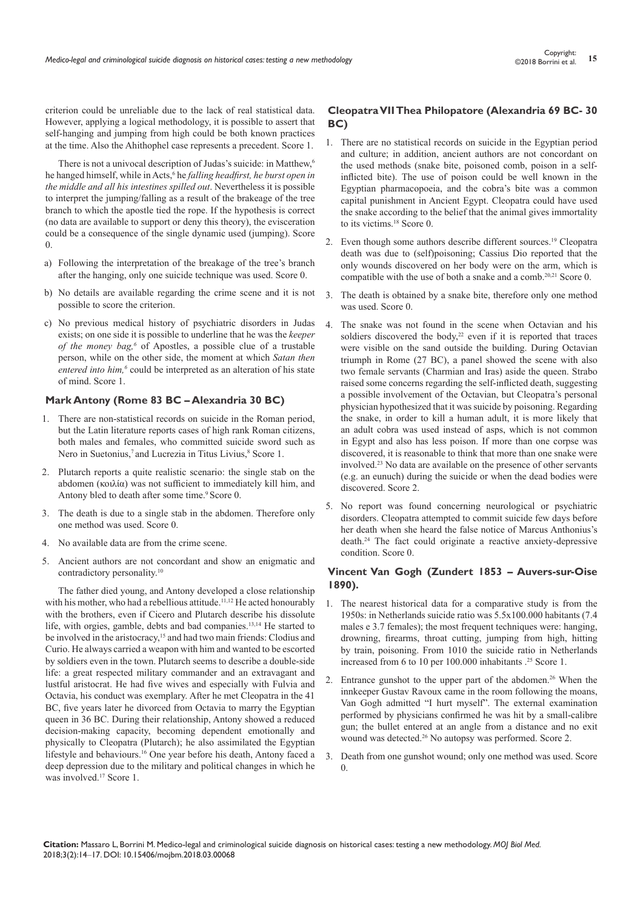criterion could be unreliable due to the lack of real statistical data. However, applying a logical methodology, it is possible to assert that self-hanging and jumping from high could be both known practices at the time. Also the Ahithophel case represents a precedent. Score 1.

There is not a univocal description of Judas's suicide: in Matthew,<sup>6</sup> he hanged himself, while in Acts,<sup>6</sup> he *falling headfirst, he burst open in the middle and all his intestines spilled out*. Nevertheless it is possible to interpret the jumping/falling as a result of the brakeage of the tree branch to which the apostle tied the rope. If the hypothesis is correct (no data are available to support or deny this theory), the evisceration could be a consequence of the single dynamic used (jumping). Score 0.

- a) Following the interpretation of the breakage of the tree's branch after the hanging, only one suicide technique was used. Score 0.
- b) No details are available regarding the crime scene and it is not possible to score the criterion.
- c) No previous medical history of psychiatric disorders in Judas exists; on one side it is possible to underline that he was the *keeper of the money bag,<sup>6</sup>* of Apostles, a possible clue of a trustable person, while on the other side, the moment at which *Satan then*  entered into him,<sup>6</sup> could be interpreted as an alteration of his state of mind. Score 1.

#### **Mark Antony (Rome 83 BC – Alexandria 30 BC)**

- 1. There are non-statistical records on suicide in the Roman period, but the Latin literature reports cases of high rank Roman citizens, both males and females, who committed suicide sword such as Nero in Suetonius,<sup>7</sup> and Lucrezia in Titus Livius,<sup>8</sup> Score 1.
- 2. Plutarch reports a quite realistic scenario: the single stab on the abdomen (κοιλία) was not sufficient to immediately kill him, and Antony bled to death after some time.<sup>9</sup> Score 0.
- 3. The death is due to a single stab in the abdomen. Therefore only one method was used. Score 0.
- 4. No available data are from the crime scene.
- 5. Ancient authors are not concordant and show an enigmatic and contradictory personality.<sup>10</sup>

The father died young, and Antony developed a close relationship with his mother, who had a rebellious attitude.<sup>11,12</sup> He acted honourably with the brothers, even if Cicero and Plutarch describe his dissolute life, with orgies, gamble, debts and bad companies.13,14 He started to be involved in the aristocracy,<sup>15</sup> and had two main friends: Clodius and Curio. He always carried a weapon with him and wanted to be escorted by soldiers even in the town. Plutarch seems to describe a double-side life: a great respected military commander and an extravagant and lustful aristocrat. He had five wives and especially with Fulvia and Octavia, his conduct was exemplary. After he met Cleopatra in the 41 BC, five years later he divorced from Octavia to marry the Egyptian queen in 36 BC. During their relationship, Antony showed a reduced decision-making capacity, becoming dependent emotionally and physically to Cleopatra (Plutarch); he also assimilated the Egyptian lifestyle and behaviours.16 One year before his death, Antony faced a deep depression due to the military and political changes in which he was involved.<sup>17</sup> Score 1.

#### **Cleopatra VII Thea Philopatore (Alexandria 69 BC- 30 BC)**

- 1. There are no statistical records on suicide in the Egyptian period and culture; in addition, ancient authors are not concordant on the used methods (snake bite, poisoned comb, poison in a selfinflicted bite). The use of poison could be well known in the Egyptian pharmacopoeia, and the cobra's bite was a common capital punishment in Ancient Egypt. Cleopatra could have used the snake according to the belief that the animal gives immortality to its victims.<sup>18</sup> Score 0.
- 2. Even though some authors describe different sources.<sup>19</sup> Cleopatra death was due to (self)poisoning; Cassius Dio reported that the only wounds discovered on her body were on the arm, which is compatible with the use of both a snake and a comb.20,21 Score 0.
- 3. The death is obtained by a snake bite, therefore only one method was used. Score 0.
- 4. The snake was not found in the scene when Octavian and his soldiers discovered the body, $22$  even if it is reported that traces were visible on the sand outside the building. During Octavian triumph in Rome (27 BC), a panel showed the scene with also two female servants (Charmian and Iras) aside the queen. Strabo raised some concerns regarding the self-inflicted death, suggesting a possible involvement of the Octavian, but Cleopatra's personal physician hypothesized that it was suicide by poisoning. Regarding the snake, in order to kill a human adult, it is more likely that an adult cobra was used instead of asps, which is not common in Egypt and also has less poison. If more than one corpse was discovered, it is reasonable to think that more than one snake were involved.<sup>23</sup> No data are available on the presence of other servants (e.g. an eunuch) during the suicide or when the dead bodies were discovered. Score 2.
- 5. No report was found concerning neurological or psychiatric disorders. Cleopatra attempted to commit suicide few days before her death when she heard the false notice of Marcus Anthonius's death.<sup>24</sup> The fact could originate a reactive anxiety-depressive condition. Score 0.

#### **Vincent Van Gogh (Zundert 1853 – Auvers-sur-Oise 1890).**

- 1. The nearest historical data for a comparative study is from the 1950s: in Netherlands suicide ratio was 5.5x100.000 habitants (7.4 males e 3.7 females); the most frequent techniques were: hanging, drowning, firearms, throat cutting, jumping from high, hitting by train, poisoning. From 1010 the suicide ratio in Netherlands increased from 6 to 10 per 100.000 inhabitants .<sup>25</sup> Score 1.
- 2. Entrance gunshot to the upper part of the abdomen.<sup>26</sup> When the innkeeper Gustav Ravoux came in the room following the moans, Van Gogh admitted "I hurt myself". The external examination performed by physicians confirmed he was hit by a small-calibre gun; the bullet entered at an angle from a distance and no exit wound was detected.<sup>26</sup> No autopsy was performed. Score 2.
- 3. Death from one gunshot wound; only one method was used. Score 0.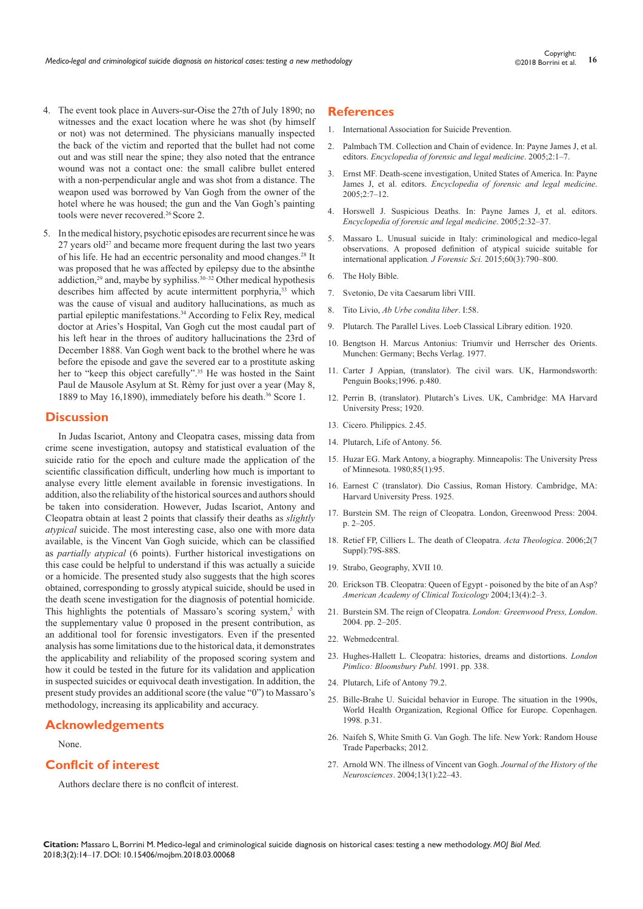- 4. The event took place in Auvers-sur-Oise the 27th of July 1890; no witnesses and the exact location where he was shot (by himself or not) was not determined. The physicians manually inspected the back of the victim and reported that the bullet had not come out and was still near the spine; they also noted that the entrance wound was not a contact one: the small calibre bullet entered with a non-perpendicular angle and was shot from a distance. The weapon used was borrowed by Van Gogh from the owner of the hotel where he was housed; the gun and the Van Gogh's painting tools were never recovered.<sup>26</sup> Score 2.
- 5. In the medical history, psychotic episodes are recurrent since he was  $27$  years old<sup>27</sup> and became more frequent during the last two years of his life. He had an eccentric personality and mood changes.<sup>28</sup> It was proposed that he was affected by epilepsy due to the absinthe addiction,<sup>29</sup> and, maybe by syphiliss.<sup>30–32</sup> Other medical hypothesis describes him affected by acute intermittent porphyria,<sup>33</sup> which was the cause of visual and auditory hallucinations, as much as partial epileptic manifestations.<sup>34</sup> According to Felix Rey, medical doctor at Aries's Hospital, Van Gogh cut the most caudal part of his left hear in the throes of auditory hallucinations the 23rd of December 1888. Van Gogh went back to the brothel where he was before the episode and gave the severed ear to a prostitute asking her to "keep this object carefully".<sup>35</sup> He was hosted in the Saint Paul de Mausole Asylum at St. Rèmy for just over a year (May 8, 1889 to May 16,1890), immediately before his death.<sup>36</sup> Score 1.

#### **Discussion**

In Judas Iscariot, Antony and Cleopatra cases, missing data from crime scene investigation, autopsy and statistical evaluation of the suicide ratio for the epoch and culture made the application of the scientific classification difficult, underling how much is important to analyse every little element available in forensic investigations. In addition, also the reliability of the historical sources and authors should be taken into consideration. However, Judas Iscariot, Antony and Cleopatra obtain at least 2 points that classify their deaths as *slightly atypical* suicide. The most interesting case, also one with more data available, is the Vincent Van Gogh suicide, which can be classified as *partially atypical* (6 points). Further historical investigations on this case could be helpful to understand if this was actually a suicide or a homicide. The presented study also suggests that the high scores obtained, corresponding to grossly atypical suicide, should be used in the death scene investigation for the diagnosis of potential homicide. This highlights the potentials of Massaro's scoring system,<sup>5</sup> with the supplementary value 0 proposed in the present contribution, as an additional tool for forensic investigators. Even if the presented analysis has some limitations due to the historical data, it demonstrates the applicability and reliability of the proposed scoring system and how it could be tested in the future for its validation and application in suspected suicides or equivocal death investigation. In addition, the present study provides an additional score (the value "0") to Massaro's methodology, increasing its applicability and accuracy.

# **Acknowledgements**

#### None.

# **Conflcit of interest**

Authors declare there is no conflcit of interest.

#### **References**

- 1. [International Association for Suicide Prevention.](https://www.iasp.info/index.php)
- 2. Palmbach TM. Collection and Chain of evidence. In: Payne James J, et al. editors. *Encyclopedia of forensic and legal medicine*. 2005;2:1–7.
- 3. Ernst MF. Death-scene investigation, United States of America. In: Payne James J, et al. editors. *Encyclopedia of forensic and legal medicine*. 2005;2:7–12.
- 4. Horswell J. Suspicious Deaths. In: Payne James J, et al. editors. *Encyclopedia of forensic and legal medicine*. 2005;2:32–37.
- 5. [Massaro L. Unusual suicide in Italy: criminological and medico-legal](https://www.ncbi.nlm.nih.gov/pubmed/25703145)  [observations. A proposed definition of atypical suicide suitable for](https://www.ncbi.nlm.nih.gov/pubmed/25703145)  [international application](https://www.ncbi.nlm.nih.gov/pubmed/25703145)*. J Forensic Sci.* 2015;60(3):790–800.
- 6. [The Holy Bible](http://www.biblica.com/en-us/the-niv-bible/).
- 7. Svetonio, De vita Caesarum libri VIII.
- 8. Tito Livio, *Ab Urbe condita liber*. I:58.
- 9. [Plutarch. The Parallel Lives. Loeb Classical Library edition. 1920.](http://penelope.uchicago.edu/Thayer/E/Roman/Texts/Plutarch/Lives/Antony*.html)
- 10. [Bengtson H. Marcus Antonius: Triumvir und Herrscher des Orients.](https://www.zvab.com/servlet/BookDetailsPL?bi=22520524105)  [Munchen: Germany; Bechs Verlag. 1977.](https://www.zvab.com/servlet/BookDetailsPL?bi=22520524105)
- 11. [Carter J Appian, \(translator\). The civil wars. UK, Harmondsworth:](https://www.penguin.co.uk/books/35137/the-civil-wars/)  [Penguin Books;1996. p.480.](https://www.penguin.co.uk/books/35137/the-civil-wars/)
- 12. [Perrin B, \(translator\). Plutarch's Lives. UK, Cambridge: MA Harvard](https://archive.org/details/liveswithenglish00plutuoft)  [University Press; 1920.](https://archive.org/details/liveswithenglish00plutuoft)
- 13. Cicero. Philippics. 2.45.
- 14. Plutarch, Life of Antony. 56.
- 15. [Huzar EG. Mark Antony, a biography. Minneapolis: The University Press](https://academic.oup.com/ahr/article-abstract/85/1/95/188929?redirectedFrom=fulltext)  [of Minnesota. 1980;85\(1\):95.](https://academic.oup.com/ahr/article-abstract/85/1/95/188929?redirectedFrom=fulltext)
- 16. Earnest C (translator). Dio Cassius, Roman History. Cambridge, MA: Harvard University Press. 1925.
- 17. [Burstein SM. The reign of Cleopatra. London, Greenwood Press: 2004.](http://www.cultorweb.com/eBooks/Storia/Reign%20of%20cleopatra.pdf)  [p. 2–205.](http://www.cultorweb.com/eBooks/Storia/Reign%20of%20cleopatra.pdf)
- 18. [Retief FP, Cilliers L. The death of Cleopatra.](https://www.ajol.info/index.php/actat/article/view/52557) *Acta Theologica*. 2006;2(7 [Suppl\):79S-88S.](https://www.ajol.info/index.php/actat/article/view/52557)
- 19. Strabo, Geography, XVII 10.
- 20. Erickson TB. Cleopatra: Queen of Egypt poisoned by the bite of an Asp? *American Academy of Clinical Toxicology* 2004;13(4):2–3.
- 21. [Burstein SM. The reign of Cleopatra.](http://www.cultorweb.com/eBooks/Storia/Reign%20of%20cleopatra.pdf) *London: Greenwood Press, London*. [2004. pp. 2–205.](http://www.cultorweb.com/eBooks/Storia/Reign%20of%20cleopatra.pdf)
- 22. [Webmedcentral.](http://www.webmedcentral.com/)
- 23. [Hughes-Hallett L. Cleopatra: histories, dreams and distortions.](https://books.google.co.in/books/about/Cleopatra.html?id=CwRxHjuF-J4C&redir_esc=y) *London [Pimlico: Bloomsbury Publ](https://books.google.co.in/books/about/Cleopatra.html?id=CwRxHjuF-J4C&redir_esc=y)*. 1991. pp. 338.
- 24. Plutarch, Life of Antony 79.2.
- 25. [Bille-Brahe U. Suicidal behavior in Europe. The situation in the 1990s,](http://apps.who.int/iris/handle/10665/108117)  [World Health Organization, Regional Office for Europe. Copenhagen.](http://apps.who.int/iris/handle/10665/108117)  [1998. p.31.](http://apps.who.int/iris/handle/10665/108117)
- 26. Naifeh S, White Smith G. Van Gogh. The life. New York: Random House Trade Paperbacks; 2012.
- 27. [Arnold WN. The illness of Vincent van Gogh.](https://www.tandfonline.com/doi/abs/10.1080/09647040490885475) *Journal of the History of the Neurosciences*[. 2004;13\(1\):22–43.](https://www.tandfonline.com/doi/abs/10.1080/09647040490885475)